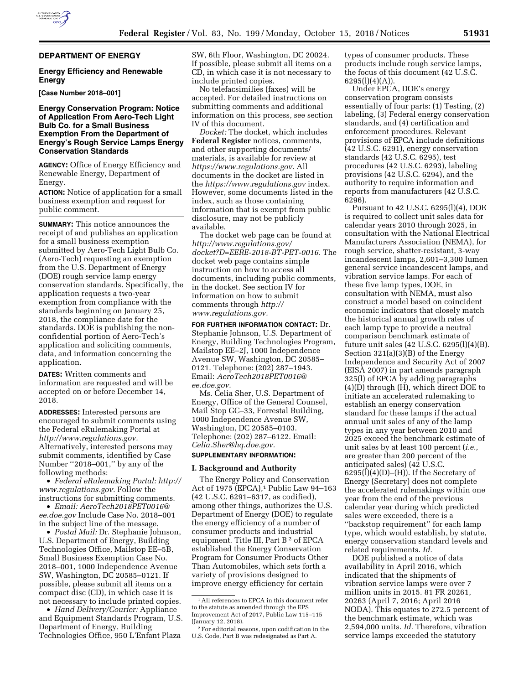### **DEPARTMENT OF ENERGY**

# **Energy Efficiency and Renewable Energy**

**[Case Number 2018–001]** 

# **Energy Conservation Program: Notice of Application From Aero-Tech Light Bulb Co. for a Small Business Exemption From the Department of Energy's Rough Service Lamps Energy Conservation Standards**

**AGENCY:** Office of Energy Efficiency and Renewable Energy, Department of Energy.

**ACTION:** Notice of application for a small business exemption and request for public comment.

**SUMMARY:** This notice announces the receipt of and publishes an application for a small business exemption submitted by Aero-Tech Light Bulb Co. (Aero-Tech) requesting an exemption from the U.S. Department of Energy (DOE) rough service lamp energy conservation standards. Specifically, the application requests a two-year exemption from compliance with the standards beginning on January 25, 2018, the compliance date for the standards. DOE is publishing the nonconfidential portion of Aero-Tech's application and soliciting comments, data, and information concerning the application.

**DATES:** Written comments and information are requested and will be accepted on or before December 14, 2018.

**ADDRESSES:** Interested persons are encouraged to submit comments using the Federal eRulemaking Portal at *[http://www.regulations.gov.](http://www.regulations.gov)*  Alternatively, interested persons may submit comments, identified by Case Number ''2018–001,'' by any of the following methods:

• *Federal eRulemaking Portal: [http://](http://www.regulations.gov)  [www.regulations.gov.](http://www.regulations.gov)* Follow the instructions for submitting comments.

• *Email: [AeroTech2018PET0016@](mailto:AeroTech2018PET0016@ee.doe.gov) [ee.doe.gov](mailto:AeroTech2018PET0016@ee.doe.gov)* Include Case No. 2018–001 in the subject line of the message.

• *Postal Mail:* Dr. Stephanie Johnson, U.S. Department of Energy, Building Technologies Office, Mailstop EE–5B, Small Business Exemption Case No. 2018–001, 1000 Independence Avenue SW, Washington, DC 20585–0121. If possible, please submit all items on a compact disc (CD), in which case it is not necessary to include printed copies.

• *Hand Delivery/Courier:* Appliance and Equipment Standards Program, U.S. Department of Energy, Building Technologies Office, 950 L'Enfant Plaza

SW, 6th Floor, Washington, DC 20024. If possible, please submit all items on a CD, in which case it is not necessary to include printed copies.

No telefacsimilies (faxes) will be accepted. For detailed instructions on submitting comments and additional information on this process, see section IV of this document.

*Docket:* The docket, which includes **Federal Register** notices, comments, and other supporting documents/ materials, is available for review at *[https://www.regulations.gov.](https://www.regulations.gov)* All documents in the docket are listed in the *<https://www.regulations.gov>*index. However, some documents listed in the index, such as those containing information that is exempt from public disclosure, may not be publicly available.

The docket web page can be found at *[http://www.regulations.gov/](http://www.regulations.gov/docket?D=EERE-2018-BT-PET-0016)  [docket?D=EERE-2018-BT-PET-0016.](http://www.regulations.gov/docket?D=EERE-2018-BT-PET-0016)* The docket web page contains simple instruction on how to access all documents, including public comments, in the docket. See section IV for information on how to submit comments through *[http://](http://www.regulations.gov) [www.regulations.gov.](http://www.regulations.gov)* 

**FOR FURTHER INFORMATION CONTACT:** Dr. Stephanie Johnson, U.S. Department of Energy, Building Technologies Program, Mailstop EE–2J, 1000 Independence Avenue SW, Washington, DC 20585– 0121. Telephone: (202) 287–1943. Email: *[AeroTech2018PET0016@](mailto:AeroTech2018PET0016@ee.doe.gov) [ee.doe.gov.](mailto:AeroTech2018PET0016@ee.doe.gov)* 

Ms. Celia Sher, U.S. Department of Energy, Office of the General Counsel, Mail Stop GC–33, Forrestal Building, 1000 Independence Avenue SW, Washington, DC 20585–0103. Telephone: (202) 287–6122. Email: *[Celia.Sher@hq.doe.gov.](mailto:Celia.Sher@hq.doe.gov)* 

#### **SUPPLEMENTARY INFORMATION:**

#### **I. Background and Authority**

The Energy Policy and Conservation Act of 1975 (EPCA),<sup>1</sup> Public Law 94-163 (42 U.S.C. 6291–6317, as codified), among other things, authorizes the U.S. Department of Energy (DOE) to regulate the energy efficiency of a number of consumer products and industrial equipment. Title III, Part B 2 of EPCA established the Energy Conservation Program for Consumer Products Other Than Automobiles, which sets forth a variety of provisions designed to improve energy efficiency for certain

types of consumer products. These products include rough service lamps, the focus of this document (42 U.S.C.  $6295(l)(4)(A)).$ 

Under EPCA, DOE's energy conservation program consists essentially of four parts: (1) Testing, (2) labeling, (3) Federal energy conservation standards, and (4) certification and enforcement procedures. Relevant provisions of EPCA include definitions (42 U.S.C. 6291), energy conservation standards (42 U.S.C. 6295), test procedures (42 U.S.C. 6293), labeling provisions (42 U.S.C. 6294), and the authority to require information and reports from manufacturers (42 U.S.C. 6296).

Pursuant to 42 U.S.C. 6295(l)(4), DOE is required to collect unit sales data for calendar years 2010 through 2025, in consultation with the National Electrical Manufacturers Association (NEMA), for rough service, shatter-resistant, 3-way incandescent lamps, 2,601–3,300 lumen general service incandescent lamps, and vibration service lamps. For each of these five lamp types, DOE, in consultation with NEMA, must also construct a model based on coincident economic indicators that closely match the historical annual growth rates of each lamp type to provide a neutral comparison benchmark estimate of future unit sales (42 U.S.C. 6295(l)(4)(B). Section 321(a)(3)(B) of the Energy Independence and Security Act of 2007 (EISA 2007) in part amends paragraph 325(l) of EPCA by adding paragraphs (4)(D) through (H), which direct DOE to initiate an accelerated rulemaking to establish an energy conservation standard for these lamps if the actual annual unit sales of any of the lamp types in any year between 2010 and 2025 exceed the benchmark estimate of unit sales by at least 100 percent (*i.e.,*  are greater than 200 percent of the anticipated sales) (42 U.S.C.  $6295(l)(4)(D)–(H)$ . If the Secretary of Energy (Secretary) does not complete the accelerated rulemakings within one year from the end of the previous calendar year during which predicted sales were exceeded, there is a ''backstop requirement'' for each lamp type, which would establish, by statute, energy conservation standard levels and related requirements. *Id.* 

DOE published a notice of data availability in April 2016, which indicated that the shipments of vibration service lamps were over 7 million units in 2015. 81 FR 20261, 20263 (April 7, 2016; April 2016 NODA). This equates to 272.5 percent of the benchmark estimate, which was 2,594,000 units. *Id.* Therefore, vibration service lamps exceeded the statutory

<sup>1</sup>All references to EPCA in this document refer to the statute as amended through the EPS Improvement Act of 2017, Public Law 115–115 (January 12, 2018).

<sup>2</sup>For editorial reasons, upon codification in the U.S. Code, Part B was redesignated as Part A.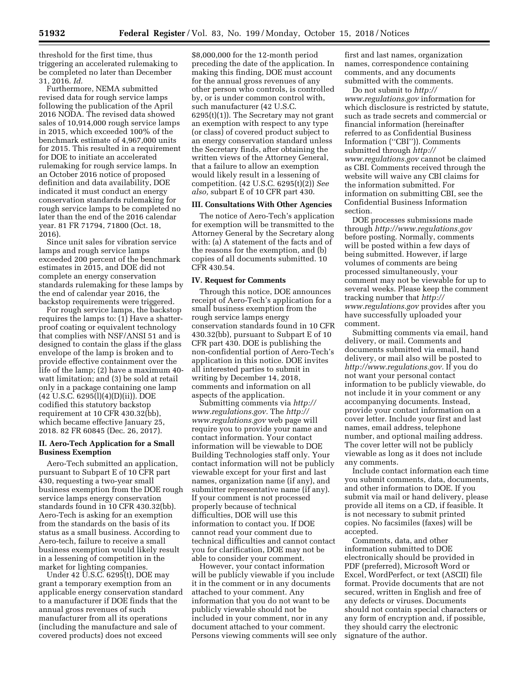threshold for the first time, thus triggering an accelerated rulemaking to be completed no later than December 31, 2016. *Id.* 

Furthermore, NEMA submitted revised data for rough service lamps following the publication of the April 2016 NODA. The revised data showed sales of 10,914,000 rough service lamps in 2015, which exceeded 100% of the benchmark estimate of 4,967,000 units for 2015. This resulted in a requirement for DOE to initiate an accelerated rulemaking for rough service lamps. In an October 2016 notice of proposed definition and data availability, DOE indicated it must conduct an energy conservation standards rulemaking for rough service lamps to be completed no later than the end of the 2016 calendar year. 81 FR 71794, 71800 (Oct. 18, 2016).

Since unit sales for vibration service lamps and rough service lamps exceeded 200 percent of the benchmark estimates in 2015, and DOE did not complete an energy conservation standards rulemaking for these lamps by the end of calendar year 2016, the backstop requirements were triggered.

For rough service lamps, the backstop requires the lamps to: (1) Have a shatterproof coating or equivalent technology that complies with NSF/ANSI 51 and is designed to contain the glass if the glass envelope of the lamp is broken and to provide effective containment over the life of the lamp; (2) have a maximum 40 watt limitation; and (3) be sold at retail only in a package containing one lamp (42 U.S.C. 6295(l)(4)(D)(ii)). DOE codified this statutory backstop requirement at 10 CFR 430.32(bb), which became effective January 25, 2018. 82 FR 60845 (Dec. 26, 2017).

#### **II. Aero-Tech Application for a Small Business Exemption**

Aero-Tech submitted an application, pursuant to Subpart E of 10 CFR part 430, requesting a two-year small business exemption from the DOE rough service lamps energy conservation standards found in 10 CFR 430.32(bb). Aero-Tech is asking for an exemption from the standards on the basis of its status as a small business. According to Aero-tech, failure to receive a small business exemption would likely result in a lessening of competition in the market for lighting companies.

Under 42 U.S.C. 6295(t), DOE may grant a temporary exemption from an applicable energy conservation standard to a manufacturer if DOE finds that the annual gross revenues of such manufacturer from all its operations (including the manufacture and sale of covered products) does not exceed

\$8,000,000 for the 12-month period preceding the date of the application. In making this finding, DOE must account for the annual gross revenues of any other person who controls, is controlled by, or is under common control with, such manufacturer (42 U.S.C. 6295(t)(1)). The Secretary may not grant an exemption with respect to any type (or class) of covered product subject to an energy conservation standard unless the Secretary finds, after obtaining the written views of the Attorney General, that a failure to allow an exemption would likely result in a lessening of competition. (42 U.S.C. 6295(t)(2)) *See also,* subpart E of 10 CFR part 430.

# **III. Consultations With Other Agencies**

The notice of Aero-Tech's application for exemption will be transmitted to the Attorney General by the Secretary along with: (a) A statement of the facts and of the reasons for the exemption, and (b) copies of all documents submitted. 10 CFR 430.54.

# **IV. Request for Comments**

Through this notice, DOE announces receipt of Aero-Tech's application for a small business exemption from the rough service lamps energy conservation standards found in 10 CFR 430.32(bb), pursuant to Subpart E of 10 CFR part 430. DOE is publishing the non-confidential portion of Aero-Tech's application in this notice. DOE invites all interested parties to submit in writing by December 14, 2018, comments and information on all aspects of the application.

Submitting comments via *[http://](http://www.regulations.gov) [www.regulations.gov.](http://www.regulations.gov)* The *[http://](http://www.regulations.gov) [www.regulations.gov](http://www.regulations.gov)* web page will require you to provide your name and contact information. Your contact information will be viewable to DOE Building Technologies staff only. Your contact information will not be publicly viewable except for your first and last names, organization name (if any), and submitter representative name (if any). If your comment is not processed properly because of technical difficulties, DOE will use this information to contact you. If DOE cannot read your comment due to technical difficulties and cannot contact you for clarification, DOE may not be able to consider your comment.

However, your contact information will be publicly viewable if you include it in the comment or in any documents attached to your comment. Any information that you do not want to be publicly viewable should not be included in your comment, nor in any document attached to your comment. Persons viewing comments will see only

first and last names, organization names, correspondence containing comments, and any documents submitted with the comments.

Do not submit to *[http://](http://www.regulations.gov) [www.regulations.gov](http://www.regulations.gov)* information for which disclosure is restricted by statute, such as trade secrets and commercial or financial information (hereinafter referred to as Confidential Business Information (''CBI'')). Comments submitted through *[http://](http://www.regulations.gov) [www.regulations.gov](http://www.regulations.gov)* cannot be claimed as CBI. Comments received through the website will waive any CBI claims for the information submitted. For information on submitting CBI, see the Confidential Business Information section.

DOE processes submissions made through *<http://www.regulations.gov>*  before posting. Normally, comments will be posted within a few days of being submitted. However, if large volumes of comments are being processed simultaneously, your comment may not be viewable for up to several weeks. Please keep the comment tracking number that *[http://](http://www.regulations.gov) [www.regulations.gov](http://www.regulations.gov)* provides after you have successfully uploaded your comment.

Submitting comments via email, hand delivery, or mail. Comments and documents submitted via email, hand delivery, or mail also will be posted to *[http://www.regulations.gov.](http://www.regulations.gov)* If you do not want your personal contact information to be publicly viewable, do not include it in your comment or any accompanying documents. Instead, provide your contact information on a cover letter. Include your first and last names, email address, telephone number, and optional mailing address. The cover letter will not be publicly viewable as long as it does not include any comments.

Include contact information each time you submit comments, data, documents, and other information to DOE. If you submit via mail or hand delivery, please provide all items on a CD, if feasible. It is not necessary to submit printed copies. No facsimiles (faxes) will be accepted.

Comments, data, and other information submitted to DOE electronically should be provided in PDF (preferred), Microsoft Word or Excel, WordPerfect, or text (ASCII) file format. Provide documents that are not secured, written in English and free of any defects or viruses. Documents should not contain special characters or any form of encryption and, if possible, they should carry the electronic signature of the author.